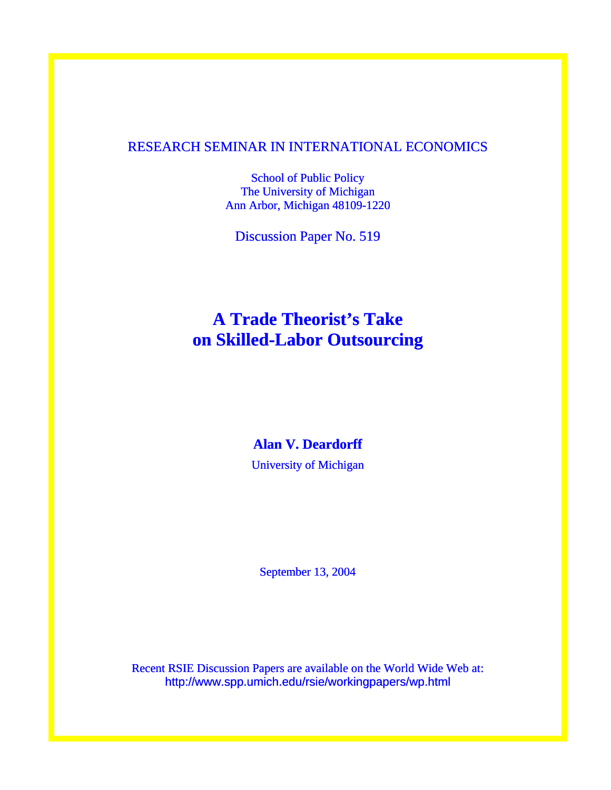### RESEARCH SEMINAR IN INTERNATIONAL ECONOMICS

School of Public Policy The University of Michigan Ann Arbor, Michigan 48109-1220

Discussion Paper No. 519

# **A Trade Theorist's Take on Skilled-Labor Outsourcing**

## **Alan V. Deardorff**

University of Michigan

September 13, 2004

Recent RSIE Discussion Papers are available on the World Wide Web at: http://www.spp.umich.edu/rsie/workingpapers/wp.html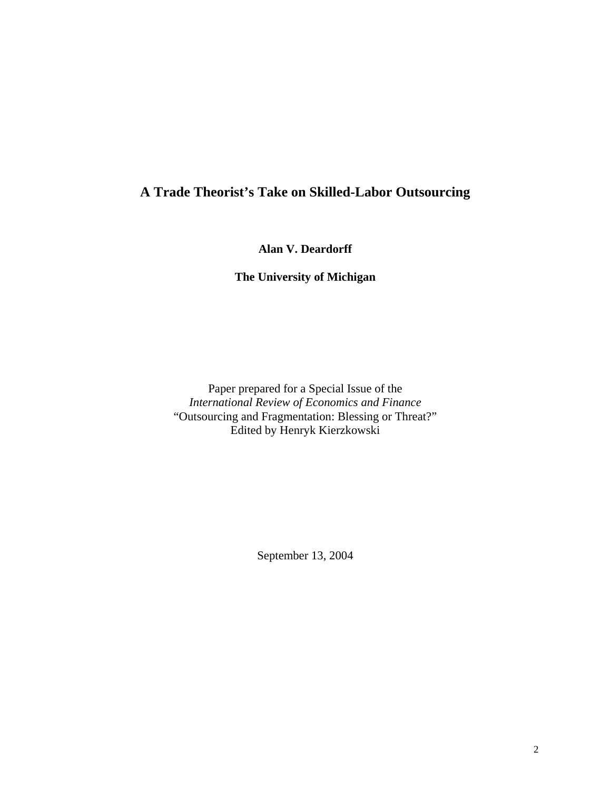# **A Trade Theorist's Take on Skilled-Labor Outsourcing**

**Alan V. Deardorff** 

**The University of Michigan** 

Paper prepared for a Special Issue of the *International Review of Economics and Finance*  "Outsourcing and Fragmentation: Blessing or Threat?" Edited by Henryk Kierzkowski

September 13, 2004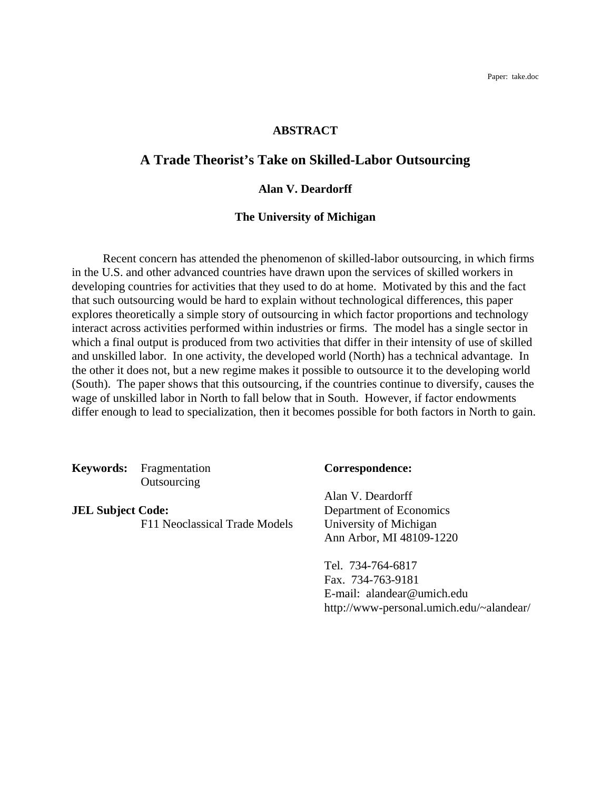### **ABSTRACT**

### **A Trade Theorist's Take on Skilled-Labor Outsourcing**

### **Alan V. Deardorff**

### **The University of Michigan**

 Recent concern has attended the phenomenon of skilled-labor outsourcing, in which firms in the U.S. and other advanced countries have drawn upon the services of skilled workers in developing countries for activities that they used to do at home. Motivated by this and the fact that such outsourcing would be hard to explain without technological differences, this paper explores theoretically a simple story of outsourcing in which factor proportions and technology interact across activities performed within industries or firms. The model has a single sector in which a final output is produced from two activities that differ in their intensity of use of skilled and unskilled labor. In one activity, the developed world (North) has a technical advantage. In the other it does not, but a new regime makes it possible to outsource it to the developing world (South). The paper shows that this outsourcing, if the countries continue to diversify, causes the wage of unskilled labor in North to fall below that in South. However, if factor endowments differ enough to lead to specialization, then it becomes possible for both factors in North to gain.

**Keywords:** Fragmentation **Correspondence: Outsourcing** 

F11 Neoclassical Trade Models University of Michigan

Alan V. Deardorff **JEL Subject Code:** Department of Economics Ann Arbor, MI 48109-1220

> Tel. 734-764-6817 Fax. 734-763-9181 E-mail: alandear@umich.edu http://www-personal.umich.edu/~alandear/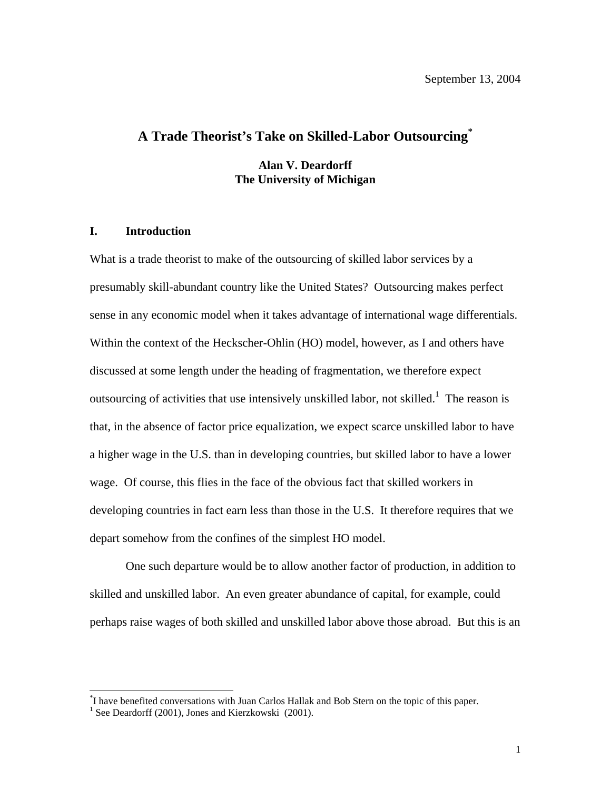# **A Trade Theorist's Take on Skilled-Labor Outsourcing[\\*](#page-3-0)**

**Alan V. Deardorff The University of Michigan** 

### **I. Introduction**

What is a trade theorist to make of the outsourcing of skilled labor services by a presumably skill-abundant country like the United States? Outsourcing makes perfect sense in any economic model when it takes advantage of international wage differentials. Within the context of the Heckscher-Ohlin (HO) model, however, as I and others have discussed at some length under the heading of fragmentation, we therefore expect outsourcing of activities that use intensively unskilled labor, not skilled.<sup>[1](#page-3-1)</sup> The reason is that, in the absence of factor price equalization, we expect scarce unskilled labor to have a higher wage in the U.S. than in developing countries, but skilled labor to have a lower wage. Of course, this flies in the face of the obvious fact that skilled workers in developing countries in fact earn less than those in the U.S. It therefore requires that we depart somehow from the confines of the simplest HO model.

One such departure would be to allow another factor of production, in addition to skilled and unskilled labor. An even greater abundance of capital, for example, could perhaps raise wages of both skilled and unskilled labor above those abroad. But this is an

<span id="page-3-0"></span> <sup>\*</sup> <sup>\*</sup>I have benefited conversations with Juan Carlos Hallak and Bob Stern on the topic of this paper.

<span id="page-3-1"></span> $1$  See Deardorff (2001), Jones and Kierzkowski (2001).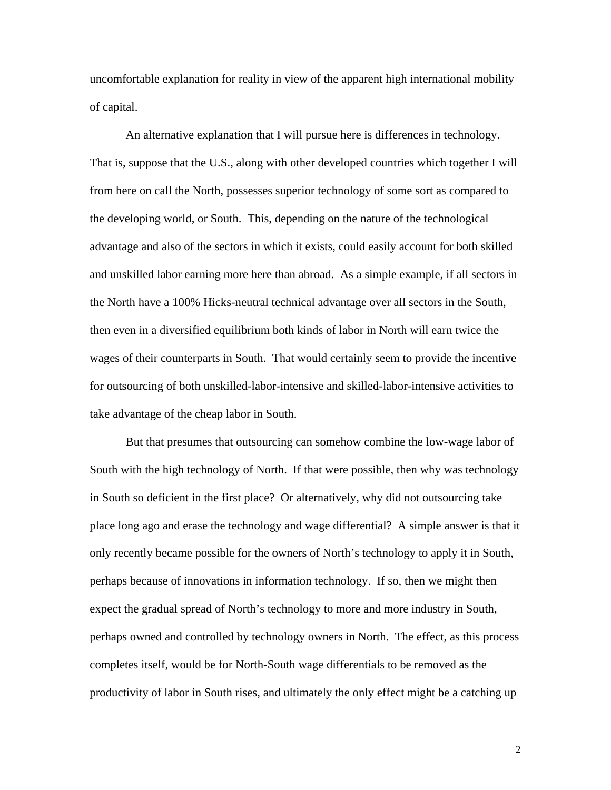uncomfortable explanation for reality in view of the apparent high international mobility of capital.

An alternative explanation that I will pursue here is differences in technology. That is, suppose that the U.S., along with other developed countries which together I will from here on call the North, possesses superior technology of some sort as compared to the developing world, or South. This, depending on the nature of the technological advantage and also of the sectors in which it exists, could easily account for both skilled and unskilled labor earning more here than abroad. As a simple example, if all sectors in the North have a 100% Hicks-neutral technical advantage over all sectors in the South, then even in a diversified equilibrium both kinds of labor in North will earn twice the wages of their counterparts in South. That would certainly seem to provide the incentive for outsourcing of both unskilled-labor-intensive and skilled-labor-intensive activities to take advantage of the cheap labor in South.

But that presumes that outsourcing can somehow combine the low-wage labor of South with the high technology of North. If that were possible, then why was technology in South so deficient in the first place? Or alternatively, why did not outsourcing take place long ago and erase the technology and wage differential? A simple answer is that it only recently became possible for the owners of North's technology to apply it in South, perhaps because of innovations in information technology. If so, then we might then expect the gradual spread of North's technology to more and more industry in South, perhaps owned and controlled by technology owners in North. The effect, as this process completes itself, would be for North-South wage differentials to be removed as the productivity of labor in South rises, and ultimately the only effect might be a catching up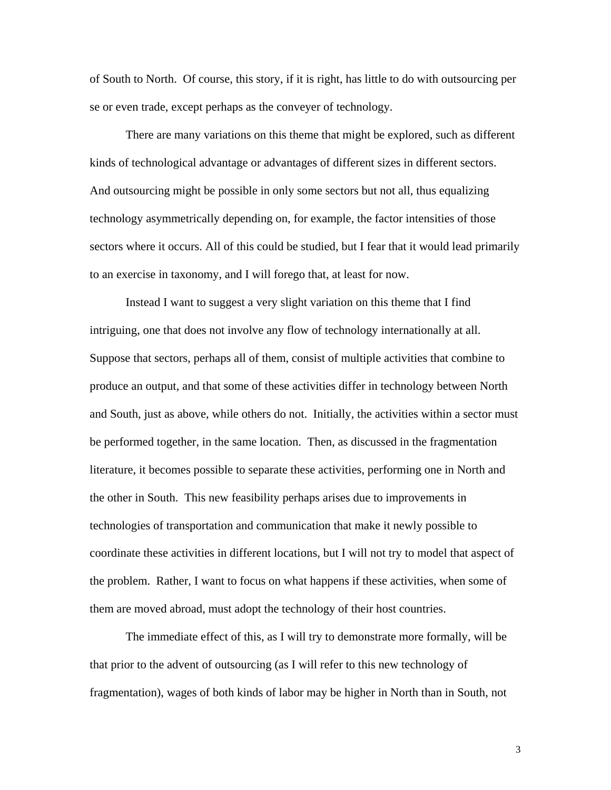of South to North. Of course, this story, if it is right, has little to do with outsourcing per se or even trade, except perhaps as the conveyer of technology.

There are many variations on this theme that might be explored, such as different kinds of technological advantage or advantages of different sizes in different sectors. And outsourcing might be possible in only some sectors but not all, thus equalizing technology asymmetrically depending on, for example, the factor intensities of those sectors where it occurs. All of this could be studied, but I fear that it would lead primarily to an exercise in taxonomy, and I will forego that, at least for now.

Instead I want to suggest a very slight variation on this theme that I find intriguing, one that does not involve any flow of technology internationally at all. Suppose that sectors, perhaps all of them, consist of multiple activities that combine to produce an output, and that some of these activities differ in technology between North and South, just as above, while others do not. Initially, the activities within a sector must be performed together, in the same location. Then, as discussed in the fragmentation literature, it becomes possible to separate these activities, performing one in North and the other in South. This new feasibility perhaps arises due to improvements in technologies of transportation and communication that make it newly possible to coordinate these activities in different locations, but I will not try to model that aspect of the problem. Rather, I want to focus on what happens if these activities, when some of them are moved abroad, must adopt the technology of their host countries.

The immediate effect of this, as I will try to demonstrate more formally, will be that prior to the advent of outsourcing (as I will refer to this new technology of fragmentation), wages of both kinds of labor may be higher in North than in South, not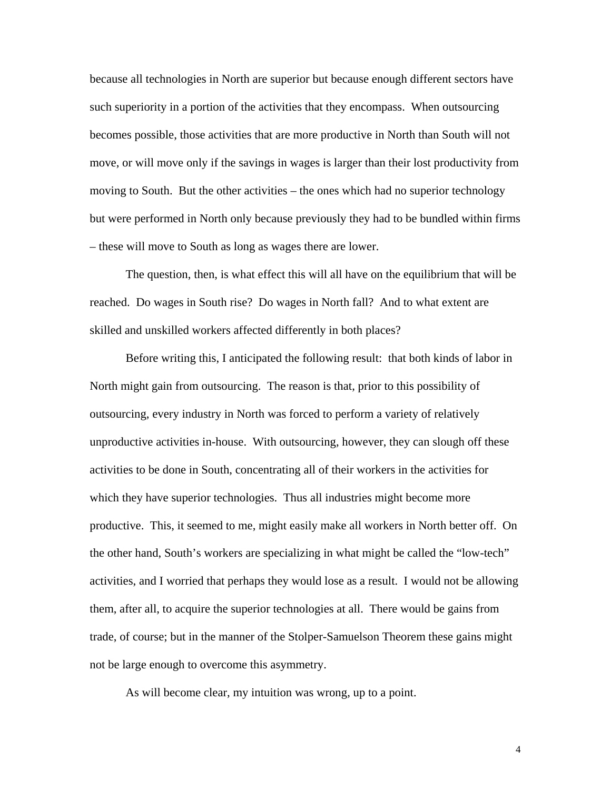because all technologies in North are superior but because enough different sectors have such superiority in a portion of the activities that they encompass. When outsourcing becomes possible, those activities that are more productive in North than South will not move, or will move only if the savings in wages is larger than their lost productivity from moving to South. But the other activities – the ones which had no superior technology but were performed in North only because previously they had to be bundled within firms – these will move to South as long as wages there are lower.

The question, then, is what effect this will all have on the equilibrium that will be reached. Do wages in South rise? Do wages in North fall? And to what extent are skilled and unskilled workers affected differently in both places?

Before writing this, I anticipated the following result: that both kinds of labor in North might gain from outsourcing. The reason is that, prior to this possibility of outsourcing, every industry in North was forced to perform a variety of relatively unproductive activities in-house. With outsourcing, however, they can slough off these activities to be done in South, concentrating all of their workers in the activities for which they have superior technologies. Thus all industries might become more productive. This, it seemed to me, might easily make all workers in North better off. On the other hand, South's workers are specializing in what might be called the "low-tech" activities, and I worried that perhaps they would lose as a result. I would not be allowing them, after all, to acquire the superior technologies at all. There would be gains from trade, of course; but in the manner of the Stolper-Samuelson Theorem these gains might not be large enough to overcome this asymmetry.

As will become clear, my intuition was wrong, up to a point.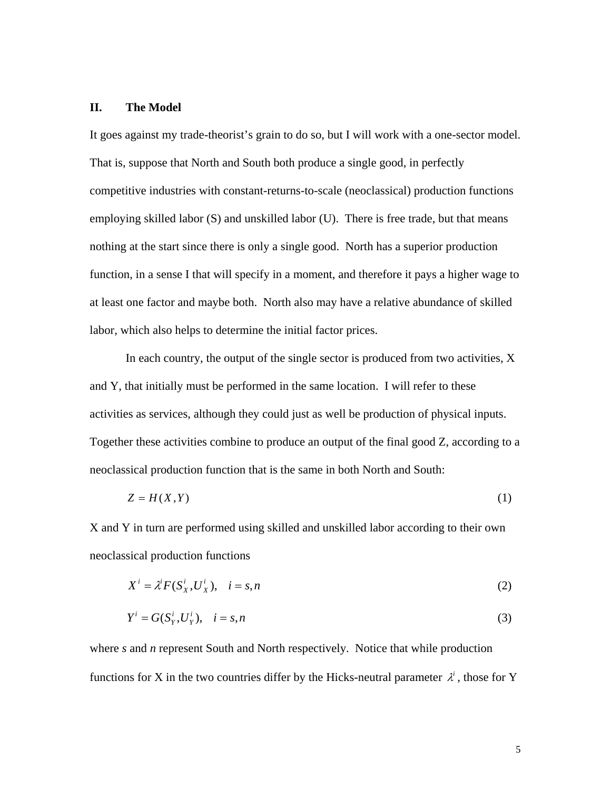### **II. The Model**

It goes against my trade-theorist's grain to do so, but I will work with a one-sector model. That is, suppose that North and South both produce a single good, in perfectly competitive industries with constant-returns-to-scale (neoclassical) production functions employing skilled labor (S) and unskilled labor (U). There is free trade, but that means nothing at the start since there is only a single good. North has a superior production function, in a sense I that will specify in a moment, and therefore it pays a higher wage to at least one factor and maybe both. North also may have a relative abundance of skilled labor, which also helps to determine the initial factor prices.

In each country, the output of the single sector is produced from two activities, X and Y, that initially must be performed in the same location. I will refer to these activities as services, although they could just as well be production of physical inputs. Together these activities combine to produce an output of the final good Z, according to a neoclassical production function that is the same in both North and South:

$$
Z = H(X, Y) \tag{1}
$$

X and Y in turn are performed using skilled and unskilled labor according to their own neoclassical production functions

$$
X^i = \lambda^i F(S_X^i, U_X^i), \quad i = s, n
$$
\n<sup>(2)</sup>

$$
Y^i = G(S_Y^i, U_Y^i), \quad i = s, n \tag{3}
$$

where *s* and *n* represent South and North respectively. Notice that while production functions for X in the two countries differ by the Hicks-neutral parameter  $\lambda^i$ , those for Y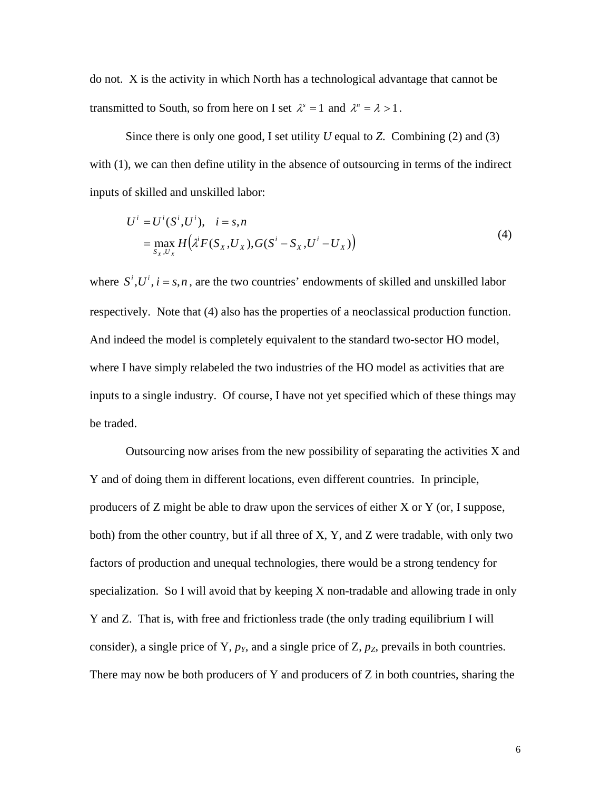do not. X is the activity in which North has a technological advantage that cannot be transmitted to South, so from here on I set  $\lambda^s = 1$  and  $\lambda^n = \lambda > 1$ .

Since there is only one good, I set utility *U* equal to *Z*. Combining (2) and (3) with (1), we can then define utility in the absence of outsourcing in terms of the indirect inputs of skilled and unskilled labor:

$$
U^{i} = U^{i}(S^{i}, U^{i}), \quad i = s, n
$$
  
= 
$$
\max_{S_{X}, U_{X}} H(\lambda^{i} F(S_{X}, U_{X}), G(S^{i} - S_{X}, U^{i} - U_{X}))
$$
 (4)

where  $S^i, U^i, i = s, n$ , are the two countries' endowments of skilled and unskilled labor respectively. Note that (4) also has the properties of a neoclassical production function. And indeed the model is completely equivalent to the standard two-sector HO model, where I have simply relabeled the two industries of the HO model as activities that are inputs to a single industry. Of course, I have not yet specified which of these things may be traded.

Outsourcing now arises from the new possibility of separating the activities X and Y and of doing them in different locations, even different countries. In principle, producers of Z might be able to draw upon the services of either X or Y (or, I suppose, both) from the other country, but if all three of X, Y, and Z were tradable, with only two factors of production and unequal technologies, there would be a strong tendency for specialization. So I will avoid that by keeping X non-tradable and allowing trade in only Y and Z. That is, with free and frictionless trade (the only trading equilibrium I will consider), a single price of Y, *pY*, and a single price of Z, *pZ*, prevails in both countries. There may now be both producers of Y and producers of Z in both countries, sharing the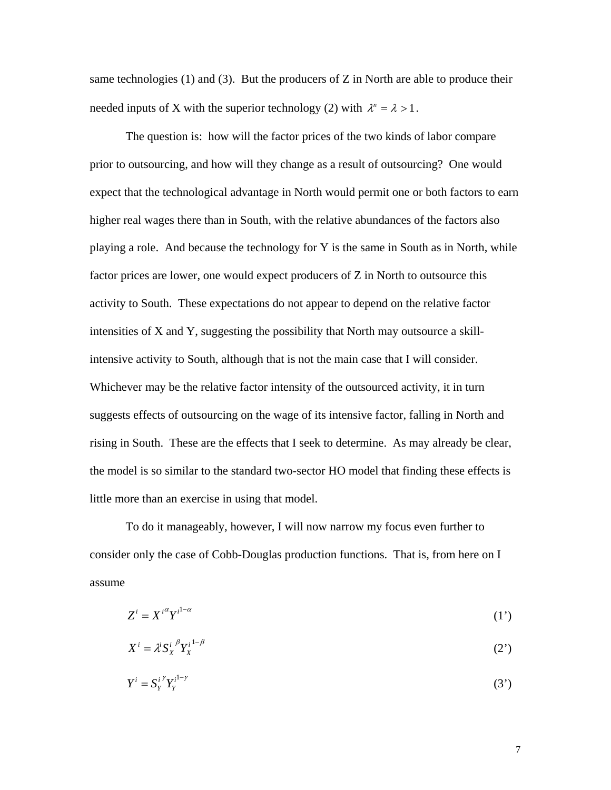same technologies  $(1)$  and  $(3)$ . But the producers of Z in North are able to produce their needed inputs of X with the superior technology (2) with  $\lambda^n = \lambda > 1$ .

The question is: how will the factor prices of the two kinds of labor compare prior to outsourcing, and how will they change as a result of outsourcing? One would expect that the technological advantage in North would permit one or both factors to earn higher real wages there than in South, with the relative abundances of the factors also playing a role. And because the technology for Y is the same in South as in North, while factor prices are lower, one would expect producers of Z in North to outsource this activity to South. These expectations do not appear to depend on the relative factor intensities of X and Y, suggesting the possibility that North may outsource a skillintensive activity to South, although that is not the main case that I will consider. Whichever may be the relative factor intensity of the outsourced activity, it in turn suggests effects of outsourcing on the wage of its intensive factor, falling in North and rising in South. These are the effects that I seek to determine. As may already be clear, the model is so similar to the standard two-sector HO model that finding these effects is little more than an exercise in using that model.

To do it manageably, however, I will now narrow my focus even further to consider only the case of Cobb-Douglas production functions. That is, from here on I assume

$$
Z^i = X^{i\alpha} Y^{i^{1-\alpha}} \tag{1'}
$$

$$
X^{i} = \lambda^{i} S_{X}^{i} \, \mathcal{P}_{X}^{i} \tag{2'}
$$

$$
Y^i = S_Y^{i \gamma} Y_Y^{i^{1-\gamma}}
$$
 (3')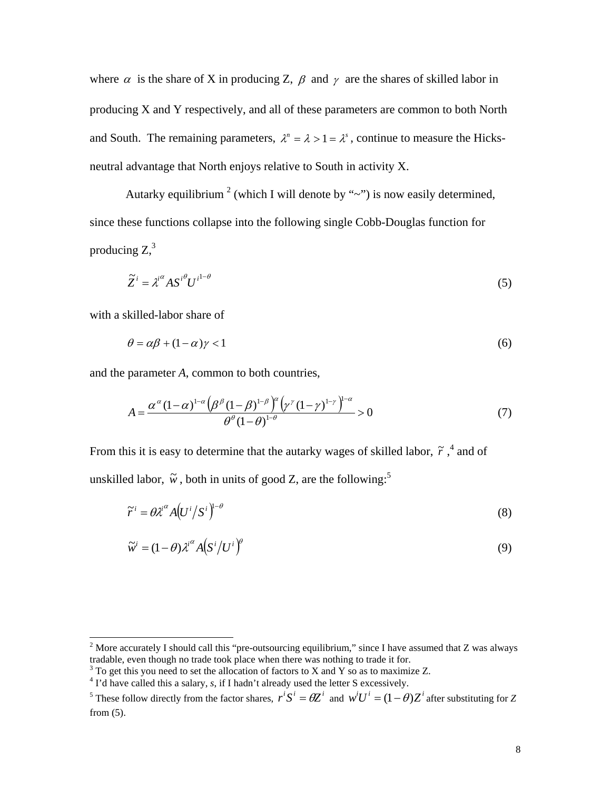where  $\alpha$  is the share of X in producing Z,  $\beta$  and  $\gamma$  are the shares of skilled labor in producing X and Y respectively, and all of these parameters are common to both North and South. The remaining parameters,  $\lambda^n = \lambda > 1 = \lambda^s$ , continue to measure the Hicksneutral advantage that North enjoys relative to South in activity X.

Autarky equilibrium<sup>2</sup> [\(](#page-10-0)which I will denote by " $\sim$ ") is now easily determined, since these functions collapse into the following single Cobb-Douglas function for producing  $Z<sub>1</sub><sup>3</sup>$  $Z<sub>1</sub><sup>3</sup>$  $Z<sub>1</sub><sup>3</sup>$ 

$$
\widetilde{Z}^i = \lambda^{i^{\alpha}} A S^{i^{\theta}} U^{i^{1-\theta}} \tag{5}
$$

with a skilled-labor share of

$$
\theta = \alpha \beta + (1 - \alpha)\gamma < 1\tag{6}
$$

and the parameter *A*, common to both countries,

$$
A = \frac{\alpha^{\alpha} (1 - \alpha)^{1 - \alpha} \left(\beta^{\beta} (1 - \beta)^{1 - \beta}\right)^{\alpha} \left(\gamma^{\gamma} (1 - \gamma)^{1 - \gamma}\right)^{1 - \alpha}}{\theta^{\beta} (1 - \theta)^{1 - \beta}} > 0
$$
\n
$$
(7)
$$

From this it is easy to determine that the [a](#page-10-2)utarky wages of skilled labor,  $\tilde{r}$ ,  $\alpha$  and of unskilled labor,  $\tilde{w}$ , both in units of good Z, are the following:<sup>[5](#page-10-3)</sup>

$$
\widetilde{r}^i = \theta \lambda^{i\alpha} A \left( U^i / S^i \right)^{1-\theta} \tag{8}
$$

$$
\widetilde{w}^{i} = (1 - \theta) \lambda^{i^{\alpha}} A \left( S^{i} / U^{i} \right)^{\theta} \tag{9}
$$

<span id="page-10-0"></span><sup>&</sup>lt;sup>2</sup> More accurately I should call this "pre-outsourcing equilibrium," since I have assumed that Z was always tradable, even though no trade took place when there was nothing to trade it for. 3

<span id="page-10-1"></span> $3$  To get this you need to set the allocation of factors to X and Y so as to maximize Z.

<span id="page-10-2"></span><sup>&</sup>lt;sup>4</sup> I'd have called this a salary, *s*, if I hadn't already used the letter S excessively.

<span id="page-10-3"></span><sup>&</sup>lt;sup>5</sup> These follow directly from the factor shares,  $r^i S^i = \theta Z^i$  and  $w^i U^i = (1 - \theta)Z^i$  after substituting for *Z* from (5).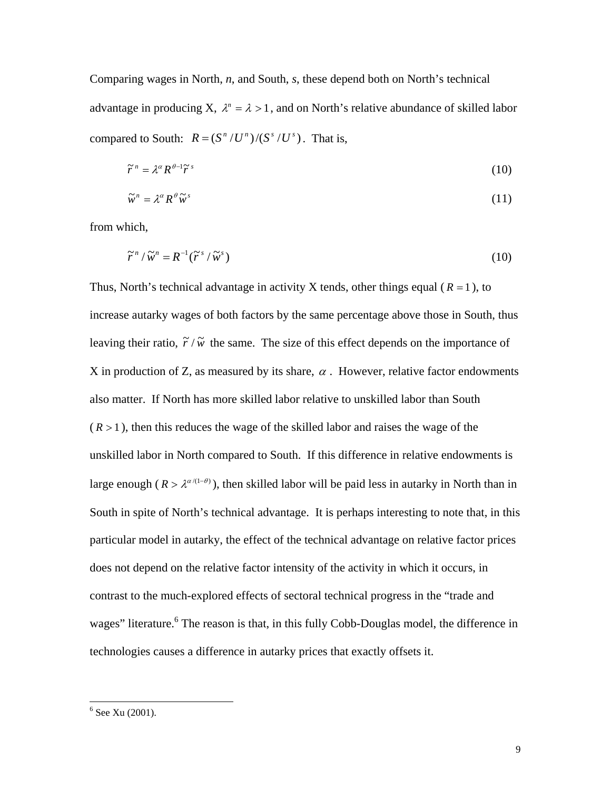Comparing wages in North, *n*, and South, *s*, these depend both on North's technical advantage in producing X,  $\lambda^n = \lambda > 1$ , and on North's relative abundance of skilled labor compared to South:  $R = (S^n / U^n) / (S^s / U^s)$ . That is,

$$
\widetilde{r}^n = \lambda^\alpha R^{\theta - 1} \widetilde{r}^s \tag{10}
$$

$$
\widetilde{w}^n = \lambda^{\alpha} R^{\theta} \widetilde{w}^s \tag{11}
$$

from which,

$$
\widetilde{r}^n / \widetilde{w}^n = R^{-1}(\widetilde{r}^s / \widetilde{w}^s)
$$
\n(10)

Thus, North's technical advantage in activity X tends, other things equal  $(R = 1)$ , to increase autarky wages of both factors by the same percentage above those in South, thus leaving their ratio,  $\tilde{r} / \tilde{w}$  the same. The size of this effect depends on the importance of X in production of Z, as measured by its share,  $\alpha$ . However, relative factor endowments also matter. If North has more skilled labor relative to unskilled labor than South  $(R > 1)$ , then this reduces the wage of the skilled labor and raises the wage of the unskilled labor in North compared to South. If this difference in relative endowments is large enough ( $R > \lambda^{\alpha/(1-\theta)}$ ), then skilled labor will be paid less in autarky in North than in South in spite of North's technical advantage. It is perhaps interesting to note that, in this particular model in autarky, the effect of the technical advantage on relative factor prices does not depend on the relative factor intensity of the activity in which it occurs, in contrast to the much-explored effects of sectoral technical progress in the "trade and wages" literature.<sup>[6](#page-11-0)</sup> The reason is that, in this fully Cobb-Douglas model, the difference in technologies causes a difference in autarky prices that exactly offsets it.

<span id="page-11-0"></span> <sup>6</sup>  $6$  See Xu (2001).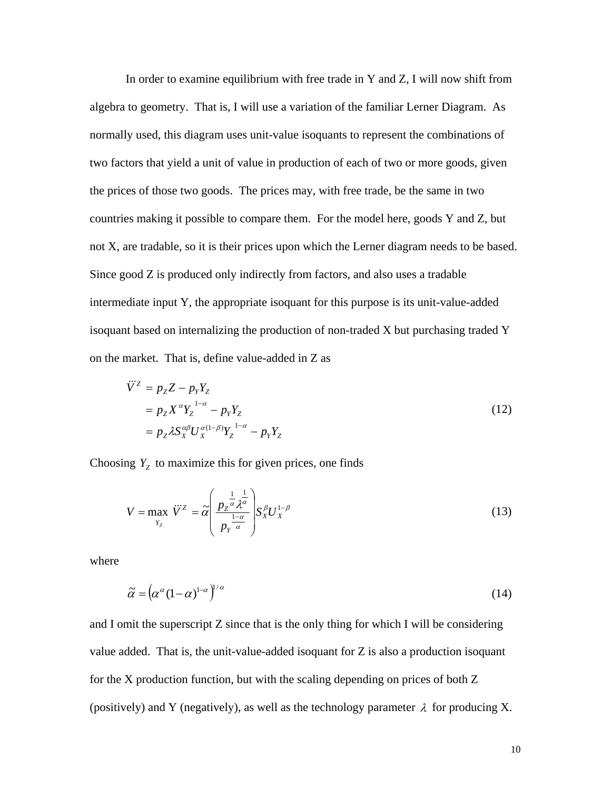In order to examine equilibrium with free trade in Y and Z, I will now shift from algebra to geometry. That is, I will use a variation of the familiar Lerner Diagram. As normally used, this diagram uses unit-value isoquants to represent the combinations of two factors that yield a unit of value in production of each of two or more goods, given the prices of those two goods. The prices may, with free trade, be the same in two countries making it possible to compare them. For the model here, goods Y and Z, but not X, are tradable, so it is their prices upon which the Lerner diagram needs to be based. Since good Z is produced only indirectly from factors, and also uses a tradable intermediate input Y, the appropriate isoquant for this purpose is its unit-value-added isoquant based on internalizing the production of non-traded X but purchasing traded Y on the market. That is, define value-added in Z as

$$
\ddot{V}^{Z} = p_{Z}Z - p_{Y}Y_{Z}
$$
\n
$$
= p_{Z}X^{\alpha}Y_{Z}^{1-\alpha} - p_{Y}Y_{Z}
$$
\n
$$
= p_{Z}\lambda S_{X}^{\alpha\beta}U_{X}^{\alpha(1-\beta)}Y_{Z}^{1-\alpha} - p_{Y}Y_{Z}
$$
\n(12)

Choosing  $Y<sub>z</sub>$  to maximize this for given prices, one finds

$$
V = \max_{Y_Z} \ddot{V}^Z = \tilde{\alpha} \left( \frac{p_Z^{\frac{1}{\alpha}} \lambda^{\frac{1}{\alpha}}}{p_Y^{\frac{1-\alpha}{\alpha}}} \right) S_X^{\beta} U_X^{1-\beta} \tag{13}
$$

where

$$
\tilde{\alpha} = \left( \alpha^{\alpha} (1 - \alpha)^{1 - \alpha} \right)^{1/\alpha} \tag{14}
$$

and I omit the superscript Z since that is the only thing for which I will be considering value added. That is, the unit-value-added isoquant for Z is also a production isoquant for the X production function, but with the scaling depending on prices of both Z (positively) and Y (negatively), as well as the technology parameter  $\lambda$  for producing X.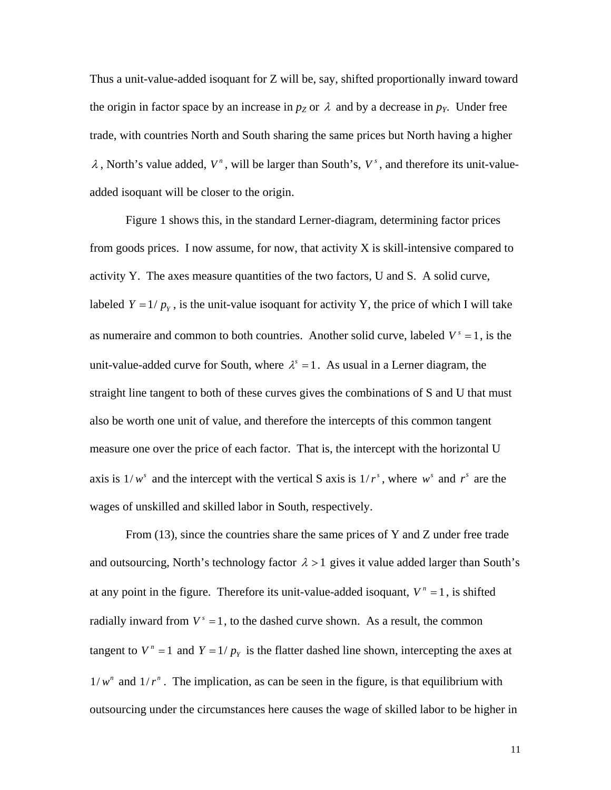Thus a unit-value-added isoquant for Z will be, say, shifted proportionally inward toward the origin in factor space by an increase in  $p_Z$  or  $\lambda$  and by a decrease in  $p_Y$ . Under free trade, with countries North and South sharing the same prices but North having a higher  $\lambda$ , North's value added,  $V^n$ , will be larger than South's,  $V^s$ , and therefore its unit-valueadded isoquant will be closer to the origin.

Figure 1 shows this, in the standard Lerner-diagram, determining factor prices from goods prices. I now assume, for now, that activity  $X$  is skill-intensive compared to activity Y. The axes measure quantities of the two factors, U and S. A solid curve, labeled  $Y = 1/p_Y$ , is the unit-value isoquant for activity Y, the price of which I will take as numeraire and common to both countries. Another solid curve, labeled  $V^s = 1$ , is the unit-value-added curve for South, where  $\lambda^s = 1$ . As usual in a Lerner diagram, the straight line tangent to both of these curves gives the combinations of S and U that must also be worth one unit of value, and therefore the intercepts of this common tangent measure one over the price of each factor. That is, the intercept with the horizontal U axis is  $1/w^s$  and the intercept with the vertical S axis is  $1/r^s$ , where w<sup>*s*</sup> and r<sup>*s*</sup> are the wages of unskilled and skilled labor in South, respectively.

From (13), since the countries share the same prices of Y and Z under free trade and outsourcing, North's technology factor  $\lambda > 1$  gives it value added larger than South's at any point in the figure. Therefore its unit-value-added isoquant,  $V^n = 1$ , is shifted radially inward from  $V^s = 1$ , to the dashed curve shown. As a result, the common tangent to  $V^n = 1$  and  $Y = 1/p_Y$  is the flatter dashed line shown, intercepting the axes at  $1/w^n$  and  $1/r^n$ . The implication, as can be seen in the figure, is that equilibrium with outsourcing under the circumstances here causes the wage of skilled labor to be higher in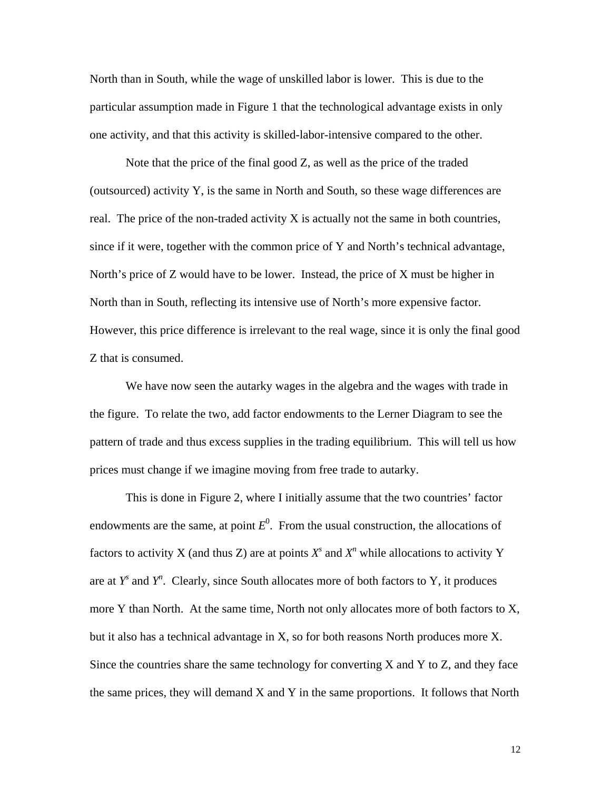North than in South, while the wage of unskilled labor is lower. This is due to the particular assumption made in Figure 1 that the technological advantage exists in only one activity, and that this activity is skilled-labor-intensive compared to the other.

Note that the price of the final good Z, as well as the price of the traded (outsourced) activity Y, is the same in North and South, so these wage differences are real. The price of the non-traded activity X is actually not the same in both countries, since if it were, together with the common price of Y and North's technical advantage, North's price of Z would have to be lower. Instead, the price of X must be higher in North than in South, reflecting its intensive use of North's more expensive factor. However, this price difference is irrelevant to the real wage, since it is only the final good Z that is consumed.

We have now seen the autarky wages in the algebra and the wages with trade in the figure. To relate the two, add factor endowments to the Lerner Diagram to see the pattern of trade and thus excess supplies in the trading equilibrium. This will tell us how prices must change if we imagine moving from free trade to autarky.

This is done in Figure 2, where I initially assume that the two countries' factor endowments are the same, at point  $E^0$ . From the usual construction, the allocations of factors to activity X (and thus Z) are at points  $X^s$  and  $X^n$  while allocations to activity Y are at  $Y^s$  and  $Y^n$ . Clearly, since South allocates more of both factors to Y, it produces more Y than North. At the same time, North not only allocates more of both factors to X, but it also has a technical advantage in X, so for both reasons North produces more X. Since the countries share the same technology for converting  $X$  and  $Y$  to  $Z$ , and they face the same prices, they will demand X and Y in the same proportions. It follows that North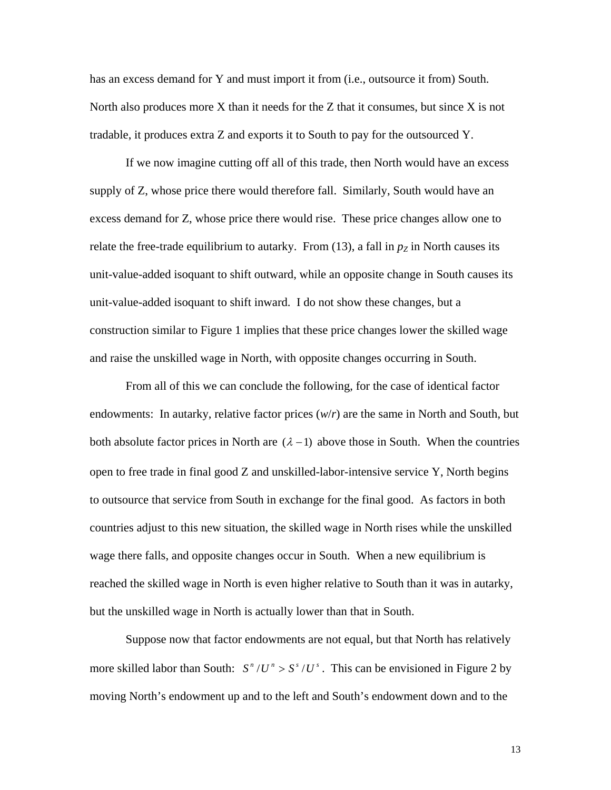has an excess demand for Y and must import it from (i.e., outsource it from) South. North also produces more  $X$  than it needs for the  $Z$  that it consumes, but since  $X$  is not tradable, it produces extra Z and exports it to South to pay for the outsourced Y.

If we now imagine cutting off all of this trade, then North would have an excess supply of Z, whose price there would therefore fall. Similarly, South would have an excess demand for Z, whose price there would rise. These price changes allow one to relate the free-trade equilibrium to autarky. From  $(13)$ , a fall in  $p<sub>Z</sub>$  in North causes its unit-value-added isoquant to shift outward, while an opposite change in South causes its unit-value-added isoquant to shift inward. I do not show these changes, but a construction similar to Figure 1 implies that these price changes lower the skilled wage and raise the unskilled wage in North, with opposite changes occurring in South.

From all of this we can conclude the following, for the case of identical factor endowments: In autarky, relative factor prices (*w*/*r*) are the same in North and South, but both absolute factor prices in North are  $(\lambda - 1)$  above those in South. When the countries open to free trade in final good Z and unskilled-labor-intensive service Y, North begins to outsource that service from South in exchange for the final good. As factors in both countries adjust to this new situation, the skilled wage in North rises while the unskilled wage there falls, and opposite changes occur in South. When a new equilibrium is reached the skilled wage in North is even higher relative to South than it was in autarky, but the unskilled wage in North is actually lower than that in South.

Suppose now that factor endowments are not equal, but that North has relatively more skilled labor than South:  $S^n / U^n > S^s / U^s$ . This can be envisioned in Figure 2 by moving North's endowment up and to the left and South's endowment down and to the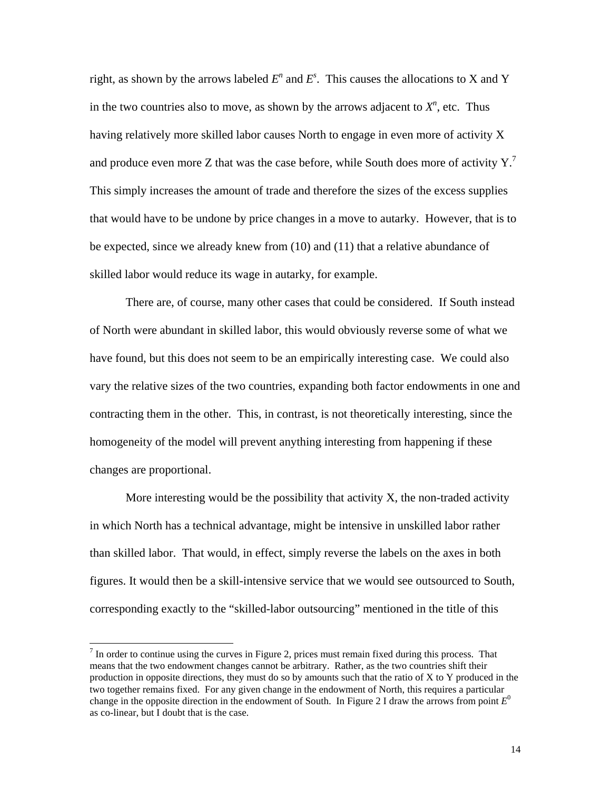right, as shown by the arrows labeled  $E^n$  and  $E^s$ . This causes the allocations to X and Y in the two countries also to move, as shown by the arrows adjacent to  $X<sup>n</sup>$ , etc. Thus having relatively more skilled labor causes North to engage in even more of activity X and produce even more Z that was the case before, while South does more of activity  $Y<sub>1</sub>$ <sup>7</sup> This simply increases the amount of trade and therefore the sizes of the excess supplies that would have to be undone by price changes in a move to autarky. However, that is to be expected, since we already knew from (10) and (11) that a relative abundance of skilled labor would reduce its wage in autarky, for example.

There are, of course, many other cases that could be considered. If South instead of North were abundant in skilled labor, this would obviously reverse some of what we have found, but this does not seem to be an empirically interesting case. We could also vary the relative sizes of the two countries, expanding both factor endowments in one and contracting them in the other. This, in contrast, is not theoretically interesting, since the homogeneity of the model will prevent anything interesting from happening if these changes are proportional.

More interesting would be the possibility that activity  $X$ , the non-traded activity in which North has a technical advantage, might be intensive in unskilled labor rather than skilled labor. That would, in effect, simply reverse the labels on the axes in both figures. It would then be a skill-intensive service that we would see outsourced to South, corresponding exactly to the "skilled-labor outsourcing" mentioned in the title of this

<sup>-&</sup>lt;br>7  $\frac{7}{1}$  In order to continue using the curves in Figure 2, prices must remain fixed during this process. That means that the two endowment changes cannot be arbitrary. Rather, as the two countries shift their production in opposite directions, they must do so by amounts such that the ratio of X to Y produced in the two together remains fixed. For any given change in the endowment of North, this requires a particular change in the opposite direction in the endowment of South. In Figure 2 I draw the arrows from point *E*<sup>0</sup> as co-linear, but I doubt that is the case.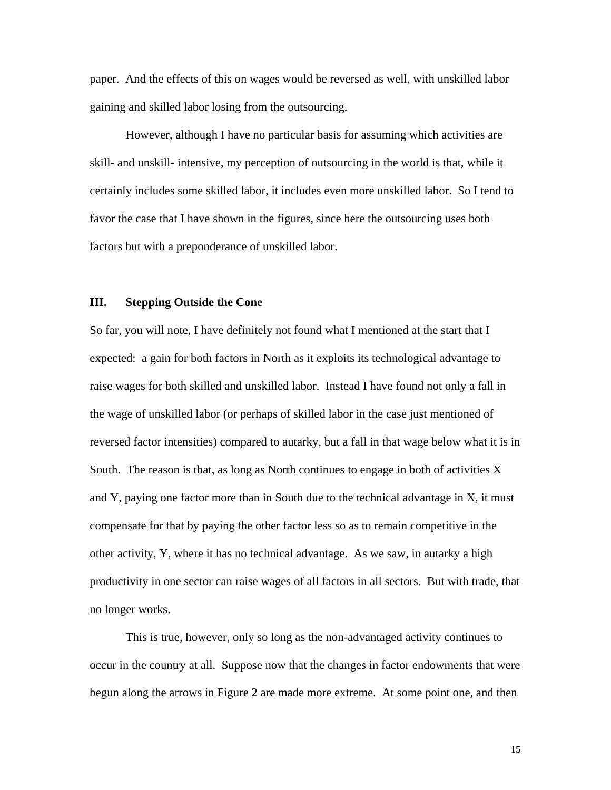paper. And the effects of this on wages would be reversed as well, with unskilled labor gaining and skilled labor losing from the outsourcing.

However, although I have no particular basis for assuming which activities are skill- and unskill- intensive, my perception of outsourcing in the world is that, while it certainly includes some skilled labor, it includes even more unskilled labor. So I tend to favor the case that I have shown in the figures, since here the outsourcing uses both factors but with a preponderance of unskilled labor.

### **III. Stepping Outside the Cone**

So far, you will note, I have definitely not found what I mentioned at the start that I expected: a gain for both factors in North as it exploits its technological advantage to raise wages for both skilled and unskilled labor. Instead I have found not only a fall in the wage of unskilled labor (or perhaps of skilled labor in the case just mentioned of reversed factor intensities) compared to autarky, but a fall in that wage below what it is in South. The reason is that, as long as North continues to engage in both of activities  $X$ and Y, paying one factor more than in South due to the technical advantage in X, it must compensate for that by paying the other factor less so as to remain competitive in the other activity, Y, where it has no technical advantage. As we saw, in autarky a high productivity in one sector can raise wages of all factors in all sectors. But with trade, that no longer works.

This is true, however, only so long as the non-advantaged activity continues to occur in the country at all. Suppose now that the changes in factor endowments that were begun along the arrows in Figure 2 are made more extreme. At some point one, and then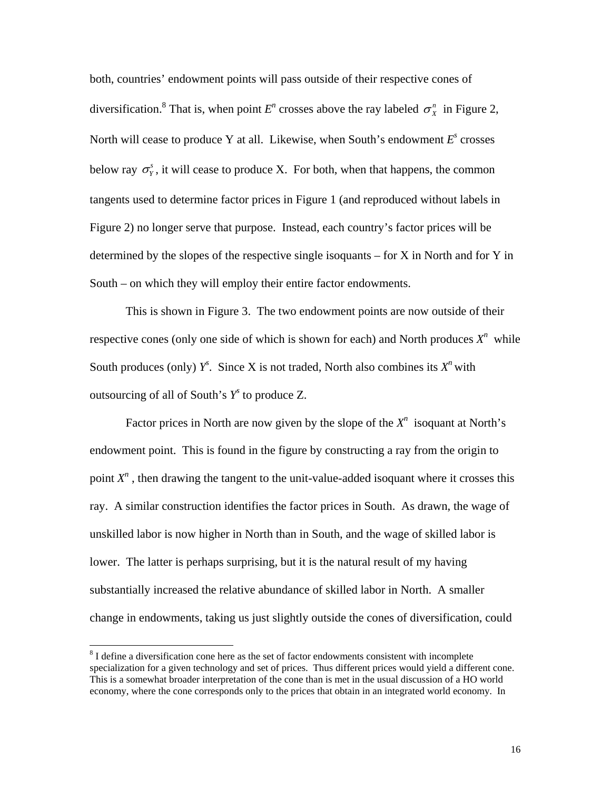both, countries' endowment points will pass outside of their respective cones of diversification.<sup>8</sup> That is, when point  $E^n$  crosses above the ray labeled  $\sigma^n$  in Figure 2, North will cea[se](#page-18-0) to produce Y at all. Likewise, when South's endowment  $E^s$  crosses below ray  $\sigma_Y^s$ , it will cease to produce X. For both, when that happens, the common tangents used to determine factor prices in Figure 1 (and reproduced without labels in Figure 2) no longer serve that purpose. Instead, each country's factor prices will be determined by the slopes of the respective single isoquants – for X in North and for Y in South – on which they will employ their entire factor endowments.

This is shown in Figure 3. The two endowment points are now outside of their respective cones (only one side of which is shown for each) and North produces  $X<sup>n</sup>$  while South produces (only)  $Y^s$ . Since X is not traded, North also combines its  $X^n$  with outsourcing of all of South's *Ys* to produce Z.

Factor prices in North are now given by the slope of the  $X<sup>n</sup>$  isoquant at North's endowment point. This is found in the figure by constructing a ray from the origin to point  $X<sup>n</sup>$ , then drawing the tangent to the unit-value-added isoquant where it crosses this ray. A similar construction identifies the factor prices in South. As drawn, the wage of unskilled labor is now higher in North than in South, and the wage of skilled labor is lower. The latter is perhaps surprising, but it is the natural result of my having substantially increased the relative abundance of skilled labor in North. A smaller change in endowments, taking us just slightly outside the cones of diversification, could

<span id="page-18-0"></span> <sup>8</sup>  $8$  I define a diversification cone here as the set of factor endowments consistent with incomplete specialization for a given technology and set of prices. Thus different prices would yield a different cone. This is a somewhat broader interpretation of the cone than is met in the usual discussion of a HO world economy, where the cone corresponds only to the prices that obtain in an integrated world economy. In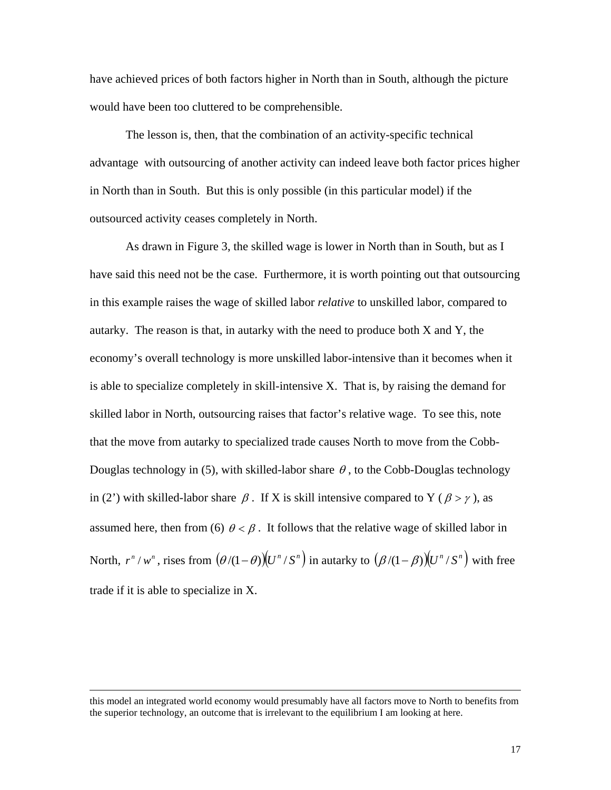have achieved prices of both factors higher in North than in South, although the picture would have been too cluttered to be comprehensible.

The lesson is, then, that the combination of an activity-specific technical advantage with outsourcing of another activity can indeed leave both factor prices higher in North than in South. But this is only possible (in this particular model) if the outsourced activity ceases completely in North.

As drawn in Figure 3, the skilled wage is lower in North than in South, but as I have said this need not be the case. Furthermore, it is worth pointing out that outsourcing in this example raises the wage of skilled labor *relative* to unskilled labor, compared to autarky. The reason is that, in autarky with the need to produce both  $X$  and  $Y$ , the economy's overall technology is more unskilled labor-intensive than it becomes when it is able to specialize completely in skill-intensive X. That is, by raising the demand for skilled labor in North, outsourcing raises that factor's relative wage. To see this, note that the move from autarky to specialized trade causes North to move from the Cobb-Douglas technology in (5), with skilled-labor share  $\theta$ , to the Cobb-Douglas technology in (2') with skilled-labor share  $\beta$ . If X is skill intensive compared to Y ( $\beta > \gamma$ ), as assumed here, then from (6)  $\theta < \beta$ . It follows that the relative wage of skilled labor in North,  $r^{n} / w^{n}$ , rises from  $(\theta/(1-\theta))(U^{n}/S^{n})$  in autarky to  $(\beta/(1-\beta))(U^{n}/S^{n})$  with free trade if it is able to specialize in X.

 $\overline{a}$ 

this model an integrated world economy would presumably have all factors move to North to benefits from the superior technology, an outcome that is irrelevant to the equilibrium I am looking at here.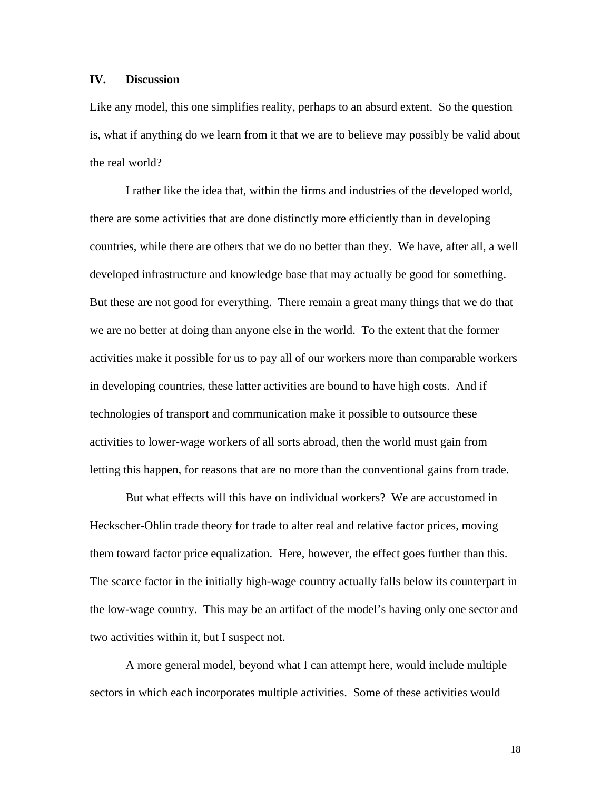### **IV. Discussion**

Like any model, this one simplifies reality, perhaps to an absurd extent. So the question is, what if anything do we learn from it that we are to believe may possibly be valid about the real world?

I rather like the idea that, within the firms and industries of the developed world, there are some activities that are done distinctly more efficiently than in developing countries, while there are others that we do no better than they. We have, after all, a well developed infrastructure and knowledge base that may actually be good for something. But these are not good for everything. There remain a great many things that we do that we are no better at doing than anyone else in the world. To the extent that the former activities make it possible for us to pay all of our workers more than comparable workers in developing countries, these latter activities are bound to have high costs. And if technologies of transport and communication make it possible to outsource these activities to lower-wage workers of all sorts abroad, then the world must gain from letting this happen, for reasons that are no more than the conventional gains from trade.

But what effects will this have on individual workers? We are accustomed in Heckscher-Ohlin trade theory for trade to alter real and relative factor prices, moving them toward factor price equalization. Here, however, the effect goes further than this. The scarce factor in the initially high-wage country actually falls below its counterpart in the low-wage country. This may be an artifact of the model's having only one sector and two activities within it, but I suspect not.

A more general model, beyond what I can attempt here, would include multiple sectors in which each incorporates multiple activities. Some of these activities would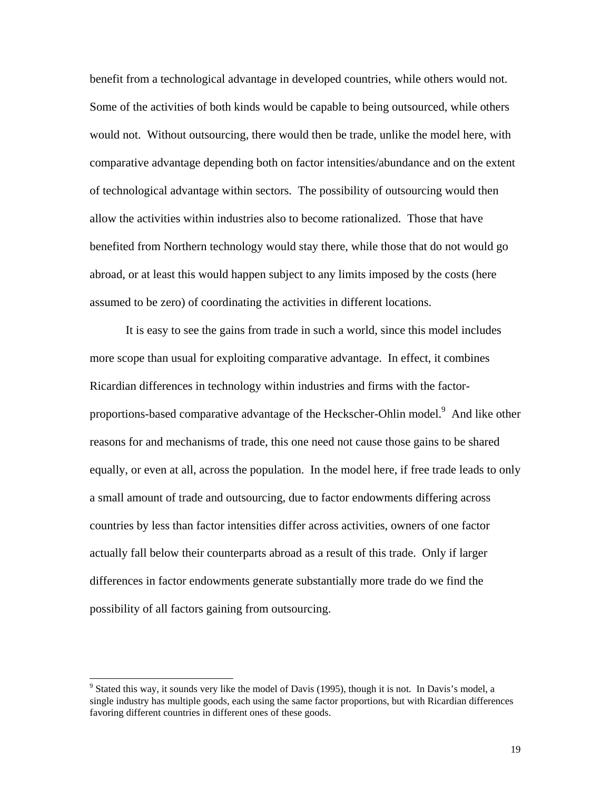benefit from a technological advantage in developed countries, while others would not. Some of the activities of both kinds would be capable to being outsourced, while others would not. Without outsourcing, there would then be trade, unlike the model here, with comparative advantage depending both on factor intensities/abundance and on the extent of technological advantage within sectors. The possibility of outsourcing would then allow the activities within industries also to become rationalized. Those that have benefited from Northern technology would stay there, while those that do not would go abroad, or at least this would happen subject to any limits imposed by the costs (here assumed to be zero) of coordinating the activities in different locations.

It is easy to see the gains from trade in such a world, since this model includes more scope than usual for exploiting comparative advantage. In effect, it combines Ricardian differences in technology within industries and firms with the factor-proportions-based comparative advantage of the Heckscher-Ohlin model.<sup>[9](#page-21-0)</sup> And like other reasons for and mechanisms of trade, this one need not cause those gains to be shared equally, or even at all, across the population. In the model here, if free trade leads to only a small amount of trade and outsourcing, due to factor endowments differing across countries by less than factor intensities differ across activities, owners of one factor actually fall below their counterparts abroad as a result of this trade. Only if larger differences in factor endowments generate substantially more trade do we find the possibility of all factors gaining from outsourcing.

<span id="page-21-0"></span><sup>-&</sup>lt;br>9 <sup>9</sup> Stated this way, it sounds very like the model of Davis (1995), though it is not. In Davis's model, a single industry has multiple goods, each using the same factor proportions, but with Ricardian differences favoring different countries in different ones of these goods.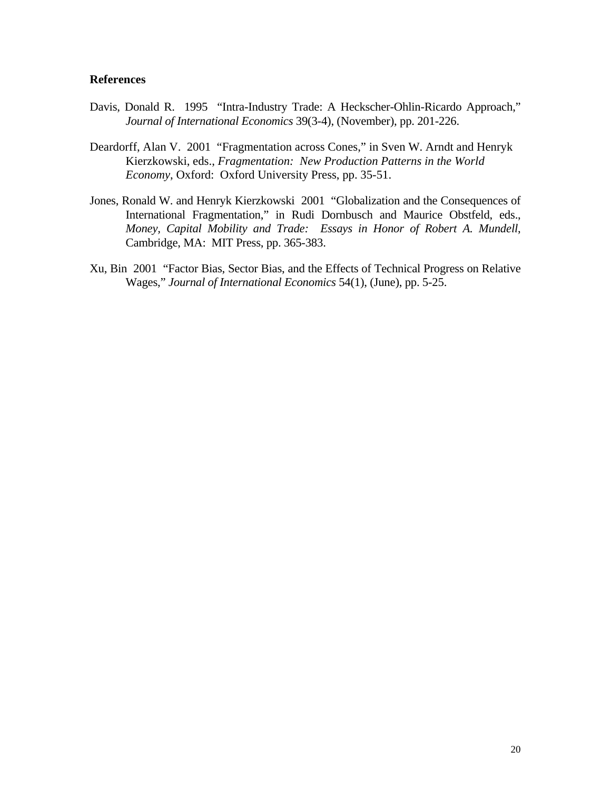### **References**

- Davis, Donald R. 1995 "Intra-Industry Trade: A Heckscher-Ohlin-Ricardo Approach," *Journal of International Economics* 39(3-4), (November), pp. 201-226.
- Deardorff, Alan V. 2001 "Fragmentation across Cones," in Sven W. Arndt and Henryk Kierzkowski, eds., *Fragmentation: New Production Patterns in the World Economy*, Oxford: Oxford University Press, pp. 35-51.
- Jones, Ronald W. and Henryk Kierzkowski 2001 "Globalization and the Consequences of International Fragmentation," in Rudi Dornbusch and Maurice Obstfeld, eds., *Money, Capital Mobility and Trade: Essays in Honor of Robert A. Mundell*, Cambridge, MA: MIT Press, pp. 365-383.
- Xu, Bin 2001 "Factor Bias, Sector Bias, and the Effects of Technical Progress on Relative Wages," *Journal of International Economics* 54(1), (June), pp. 5-25.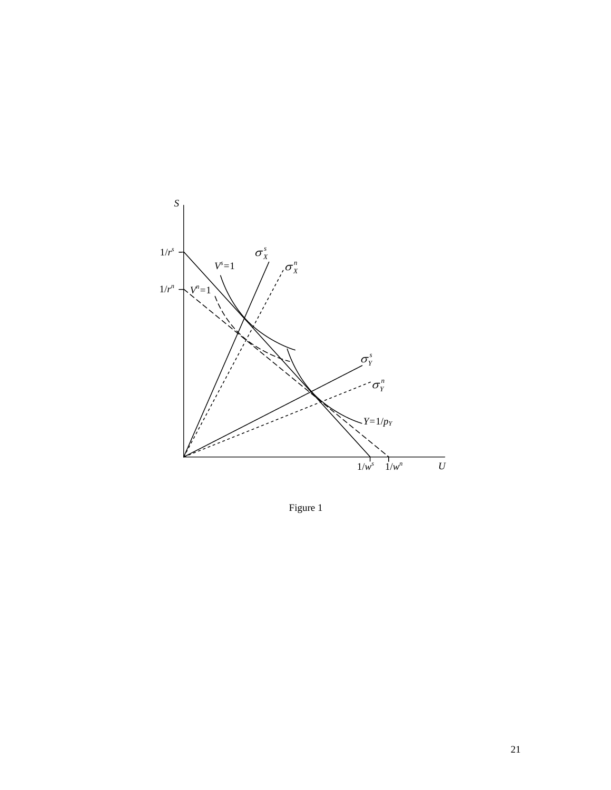

Figure 1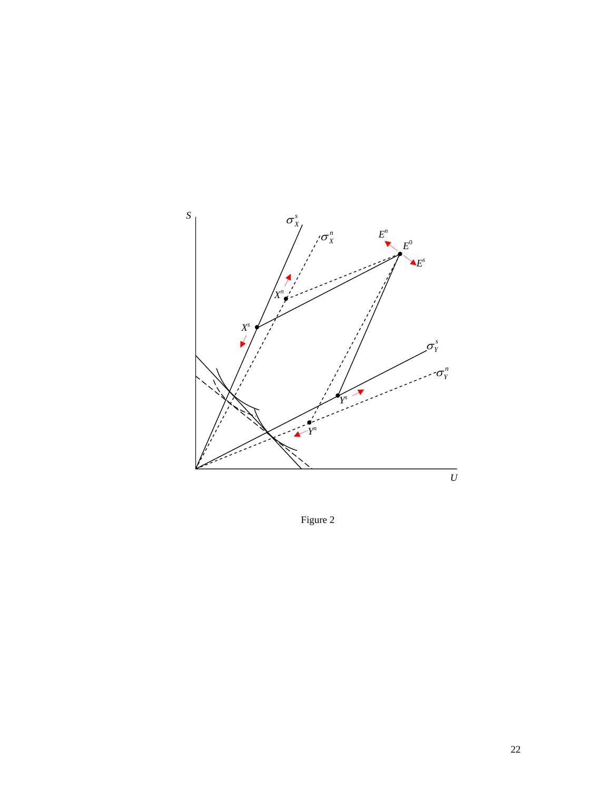

Figure 2